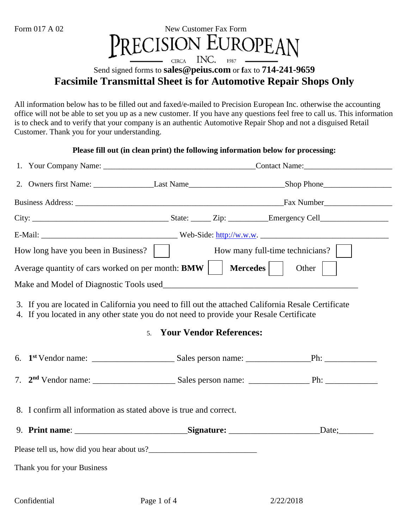#### Form 017 A 02 New Customer Fax Form EUROPEAN ECISION INC. **CIRCA**  $1987 -$

### Send signed forms to **sales@peius.com** or **f**ax to **714-241-9659 Facsimile Transmittal Sheet is for Automotive Repair Shops Only**

All information below has to be filled out and faxed/e-mailed to Precision European Inc. otherwise the accounting office will not be able to set you up as a new customer. If you have any questions feel free to call us. This information is to check and to verify that your company is an authentic Automotive Repair Shop and not a disguised Retail Customer. Thank you for your understanding.

#### **Please fill out (in clean print) the following information below for processing:**

| How long have you been in Business?  <br>How many full-time technicians?<br>Average quantity of cars worked on per month: <b>BMW</b><br><b>Mercedes</b><br>$\mathbb{R}^n$<br>Other                                                                 |                                                                   |  |  |  |  |  |
|----------------------------------------------------------------------------------------------------------------------------------------------------------------------------------------------------------------------------------------------------|-------------------------------------------------------------------|--|--|--|--|--|
|                                                                                                                                                                                                                                                    |                                                                   |  |  |  |  |  |
| 3. If you are located in California you need to fill out the attached California Resale Certificate<br>4. If you located in any other state you do not need to provide your Resale Certificate<br><b>Your Vendor References:</b><br>5 <sub>1</sub> |                                                                   |  |  |  |  |  |
|                                                                                                                                                                                                                                                    |                                                                   |  |  |  |  |  |
|                                                                                                                                                                                                                                                    |                                                                   |  |  |  |  |  |
|                                                                                                                                                                                                                                                    | 8. I confirm all information as stated above is true and correct. |  |  |  |  |  |
|                                                                                                                                                                                                                                                    |                                                                   |  |  |  |  |  |
|                                                                                                                                                                                                                                                    |                                                                   |  |  |  |  |  |
| Thank you for your Business                                                                                                                                                                                                                        |                                                                   |  |  |  |  |  |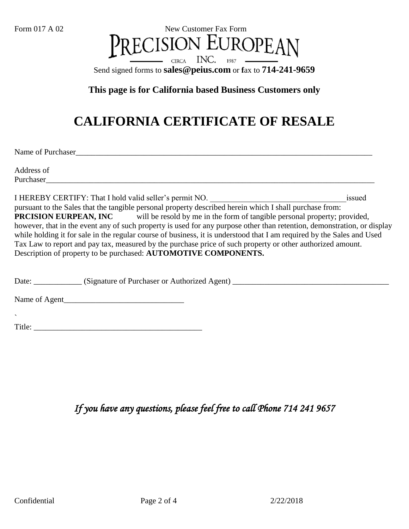

#### **This page is for California based Business Customers only**

# **CALIFORNIA CERTIFICATE OF RESALE**

Name of Purchaser\_\_\_\_\_\_\_\_\_\_\_\_\_\_\_\_\_\_\_\_\_\_\_\_\_\_\_\_\_\_\_\_\_\_\_\_\_\_\_\_\_\_\_\_\_\_\_\_\_\_\_\_\_\_\_\_\_\_\_\_\_\_\_\_\_\_\_\_\_\_\_\_\_\_

Address of Purchaser

I HEREBY CERTIFY: That I hold valid seller's permit NO.  $\qquad \qquad$  issued pursuant to the Sales that the tangible personal property described herein which I shall purchase from: **PRCISION EURPEAN, INC** will be resold by me in the form of tangible personal property; provided, however, that in the event any of such property is used for any purpose other than retention, demonstration, or display while holding it for sale in the regular course of business, it is understood that I am required by the Sales and Used Tax Law to report and pay tax, measured by the purchase price of such property or other authorized amount. Description of property to be purchased: **AUTOMOTIVE COMPONENTS.**

Date: \_\_\_\_\_\_\_\_\_\_\_\_ (Signature of Purchaser or Authorized Agent) \_\_\_\_\_\_\_\_\_\_\_\_\_\_\_\_\_\_\_\_\_\_\_\_\_\_\_\_\_\_\_\_\_\_\_\_\_\_\_

Name of Agent\_\_\_\_\_\_\_\_\_\_\_\_\_\_\_\_\_\_\_\_\_\_\_\_\_\_\_\_\_\_

` Title: \_\_\_\_\_\_\_\_\_\_\_\_\_\_\_\_\_\_\_\_\_\_\_\_\_\_\_\_\_\_\_\_\_\_\_\_\_\_\_\_\_\_

*If you have any questions, please feel free to call Phone 714 241 9657*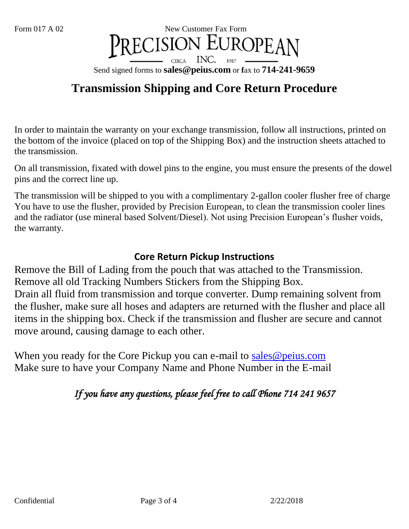#### Form 017 A 02 New Customer Fax Form CISION INC. **CIRCA** 1987 Send signed forms to **sales@peius.com** or **f**ax to **714-241-9659**

## **Transmission Shipping and Core Return Procedure**

In order to maintain the warranty on your exchange transmission, follow all instructions, printed on the bottom of the invoice (placed on top of the Shipping Box) and the instruction sheets attached to the transmission.

On all transmission, fixated with dowel pins to the engine, you must ensure the presents of the dowel pins and the correct line up.

The transmission will be shipped to you with a complimentary 2-gallon cooler flusher free of charge You have to use the flusher, provided by Precision European, to clean the transmission cooler lines and the radiator (use mineral based Solvent/Diesel). Not using Precision European's flusher voids, the warranty.

### **Core Return Pickup Instructions**

Remove the Bill of Lading from the pouch that was attached to the Transmission. Remove all old Tracking Numbers Stickers from the Shipping Box. Drain all fluid from transmission and torque converter. Dump remaining solvent from the flusher, make sure all hoses and adapters are returned with the flusher and place all items in the shipping box. Check if the transmission and flusher are secure and cannot move around, causing damage to each other.

When you ready for the Core Pickup you can e-mail to [sales@peius.com](mailto:sales@peius.com) Make sure to have your Company Name and Phone Number in the E-mail

## *If you have any questions, please feel free to call Phone 714 241 9657*